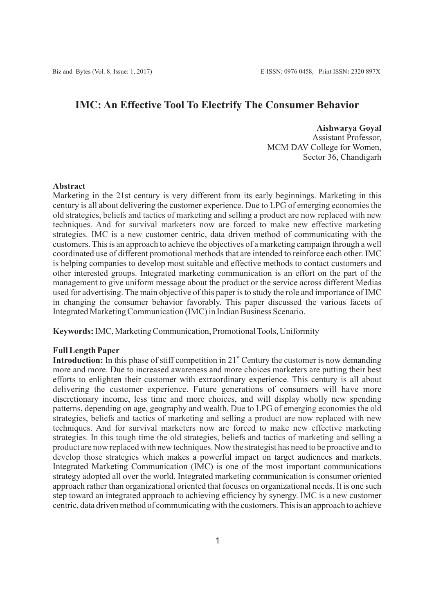# **IMC: An Effective Tool To Electrify The Consumer Behavior**

**Aishwarya Goyal** Assistant Professor, MCM DAV College for Women, Sector 36, Chandigarh

#### **Abstract**

Marketing in the 21st century is very different from its early beginnings. Marketing in this century is all about delivering the customer experience. Due to LPG of emerging economies the old strategies, beliefs and tactics of marketing and selling a product are now replaced with new techniques. And for survival marketers now are forced to make new effective marketing strategies. IMC is a new customer centric, data driven method of communicating with the customers. This is an approach to achieve the objectives of a marketing campaign through a well coordinated use of different promotional methods that are intended to reinforce each other. IMC is helping companies to develop most suitable and effective methods to contact customers and other interested groups. Integrated marketing communication is an effort on the part of the management to give uniform message about the product or the service across different Medias used for advertising. The main objective of this paper is to study the role and importance of IMC in changing the consumer behavior favorably. This paper discussed the various facets of Integrated Marketing Communication (IMC) in Indian Business Scenario.

**Keywords:**IMC, Marketing Communication, Promotional Tools, Uniformity

#### **Full Length Paper**

**Introduction:** In this phase of stiff competition in  $21<sup>st</sup>$  Century the customer is now demanding more and more. Due to increased awareness and more choices marketers are putting their best efforts to enlighten their customer with extraordinary experience. This century is all about delivering the customer experience. Future generations of consumers will have more discretionary income, less time and more choices, and will display wholly new spending patterns, depending on age, geography and wealth. Due to LPG of emerging economies the old strategies, beliefs and tactics of marketing and selling a product are now replaced with new techniques. And for survival marketers now are forced to make new effective marketing strategies. In this tough time the old strategies, beliefs and tactics of marketing and selling a product are now replaced with new techniques. Now the strategist has need to be proactive and to develop those strategies which makes a powerful impact on target audiences and markets. Integrated Marketing Communication (IMC) is one of the most important communications strategy adopted all over the world. Integrated marketing communication is consumer oriented approach rather than organizational oriented that focuses on organizational needs. It is one such step toward an integrated approach to achieving efficiency by synergy. IMC is a new customer centric, data driven method of communicating with the customers. This is an approach to achieve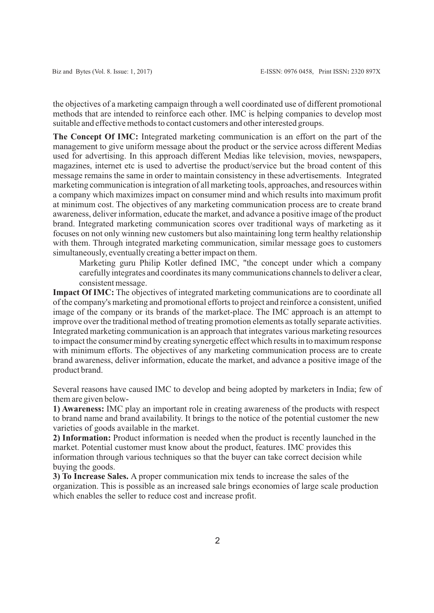the objectives of a marketing campaign through a well coordinated use of different promotional methods that are intended to reinforce each other. IMC is helping companies to develop most suitable and effective methods to contact customers and other interested groups.

**The Concept Of IMC:** Integrated marketing communication is an effort on the part of the management to give uniform message about the product or the service across different Medias used for advertising. In this approach different Medias like television, movies, newspapers, magazines, internet etc is used to advertise the product/service but the broad content of this message remains the same in order to maintain consistency in these advertisements. Integrated marketing communication is integration of all marketing tools, approaches, and resources within a company which maximizes impact on consumer mind and which results into maximum profit at minimum cost. The objectives of any marketing communication process are to create brand awareness, deliver information, educate the market, and advance a positive image of the product brand. Integrated marketing communication scores over traditional ways of marketing as it focuses on not only winning new customers but also maintaining long term healthy relationship with them. Through integrated marketing communication, similar message goes to customers simultaneously, eventually creating a better impact on them.

Marketing guru Philip Kotler defined IMC, "the concept under which a company carefully integrates and coordinates its many communications channels to deliver a clear, consistent message.

**Impact Of IMC:** The objectives of integrated marketing communications are to coordinate all of the company's marketing and promotional efforts to project and reinforce a consistent, unified image of the company or its brands of the market-place. The IMC approach is an attempt to improve over the traditional method of treating promotion elements as totally separate activities. Integrated marketing communication is an approach that integrates various marketing resources to impact the consumer mind by creating synergetic effect which results in to maximum response with minimum efforts. The objectives of any marketing communication process are to create brand awareness, deliver information, educate the market, and advance a positive image of the product brand.

Several reasons have caused IMC to develop and being adopted by marketers in India; few of them are given below-

**1) Awareness:** IMC play an important role in creating awareness of the products with respect to brand name and brand availability. It brings to the notice of the potential customer the new varieties of goods available in the market.

**2) Information:** Product information is needed when the product is recently launched in the market. Potential customer must know about the product, features. IMC provides this information through various techniques so that the buyer can take correct decision while buying the goods.

**3) To Increase Sales.** A proper communication mix tends to increase the sales of the organization. This is possible as an increased sale brings economies of large scale production which enables the seller to reduce cost and increase profit.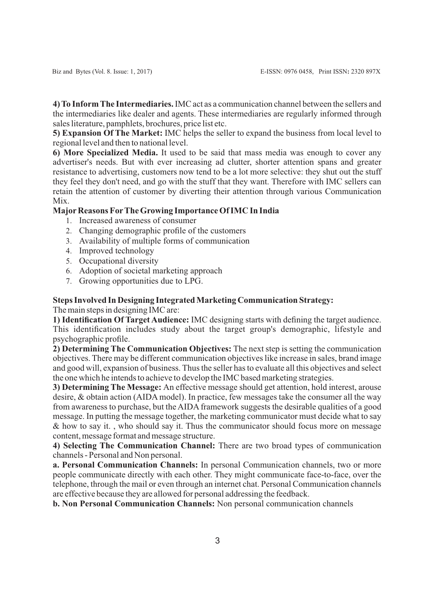**4) To Inform The Intermediaries.** IMC act as a communication channel between the sellers and the intermediaries like dealer and agents. These intermediaries are regularly informed through sales literature, pamphlets, brochures, price list etc.

**5) Expansion Of The Market:** IMC helps the seller to expand the business from local level to regional level and then to national level.

**6) More Specialized Media.** It used to be said that mass media was enough to cover any advertiser's needs. But with ever increasing ad clutter, shorter attention spans and greater resistance to advertising, customers now tend to be a lot more selective: they shut out the stuff they feel they don't need, and go with the stuff that they want. Therefore with IMC sellers can retain the attention of customer by diverting their attention through various Communication Mix.

## **MajorReasons ForThe Growing Importance Of IMC In India**

- 1. Increased awareness of consumer
- 2. Changing demographic profile of the customers
- 3. Availability of multiple forms of communication
- 4. Improved technology
- 5. Occupational diversity
- 6. Adoption of societal marketing approach
- 7. Growing opportunities due to LPG.

## **Steps Involved In Designing Integrated Marketing Communication Strategy:** The main steps in designing IMC are:

**1) Identification Of Target Audience:** IMC designing starts with defining the target audience. This identification includes study about the target group's demographic, lifestyle and psychographic profile.

**2) Determining The Communication Objectives:** The next step is setting the communication objectives. There may be different communication objectives like increase in sales, brand image and good will, expansion of business. Thus the seller has to evaluate all this objectives and select the one which he intends to achieve to develop the IMC based marketing strategies.

**3) Determining The Message:** An effective message should get attention, hold interest, arouse desire, & obtain action (AIDA model). In practice, few messages take the consumer all the way from awareness to purchase, but the AIDA framework suggests the desirable qualities of a good message. In putting the message together, the marketing communicator must decide what to say & how to say it. , who should say it. Thus the communicator should focus more on message content, message format and message structure.

**4) Selecting The Communication Channel:** There are two broad types of communication channels - Personal and Non personal.

**a. Personal Communication Channels:** In personal Communication channels, two or more people communicate directly with each other. They might communicate face-to-face, over the telephone, through the mail or even through an internet chat. Personal Communication channels are effective because they are allowed for personal addressing the feedback.

**b. Non Personal Communication Channels:** Non personal communication channels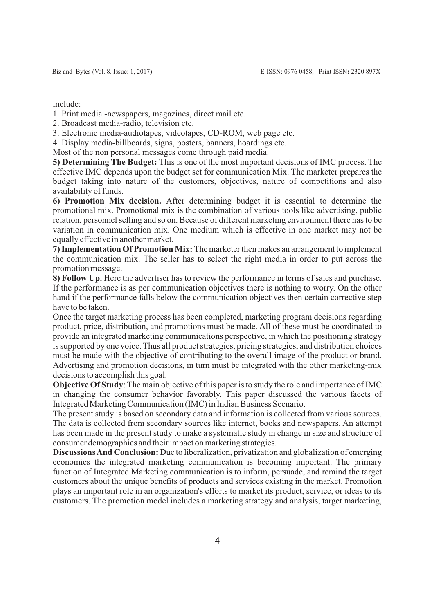include:

1. Print media -newspapers, magazines, direct mail etc.

2. Broadcast media-radio, television etc.

3. Electronic media-audiotapes, videotapes, CD-ROM, web page etc.

4. Display media-billboards, signs, posters, banners, hoardings etc.

Most of the non personal messages come through paid media.

**5) Determining The Budget:** This is one of the most important decisions of IMC process. The effective IMC depends upon the budget set for communication Mix. The marketer prepares the budget taking into nature of the customers, objectives, nature of competitions and also availability of funds.

**6) Promotion Mix decision.** After determining budget it is essential to determine the promotional mix. Promotional mix is the combination of various tools like advertising, public relation, personnel selling and so on. Because of different marketing environment there has to be variation in communication mix. One medium which is effective in one market may not be equally effective in another market.

**7) Implementation Of Promotion Mix:** The marketer then makes an arrangement to implement the communication mix. The seller has to select the right media in order to put across the promotion message.

**8) Follow Up.** Here the advertiser has to review the performance in terms of sales and purchase. If the performance is as per communication objectives there is nothing to worry. On the other hand if the performance falls below the communication objectives then certain corrective step have to be taken.

Once the target marketing process has been completed, marketing program decisions regarding product, price, distribution, and promotions must be made. All of these must be coordinated to provide an integrated marketing communications perspective, in which the positioning strategy is supported by one voice. Thus all product strategies, pricing strategies, and distribution choices must be made with the objective of contributing to the overall image of the product or brand. Advertising and promotion decisions, in turn must be integrated with the other marketing-mix decisions to accomplish this goal.

**Objective Of Study**: The main objective of this paper is to study the role and importance of IMC in changing the consumer behavior favorably. This paper discussed the various facets of Integrated Marketing Communication (IMC) in Indian Business Scenario.

The present study is based on secondary data and information is collected from various sources. The data is collected from secondary sources like internet, books and newspapers. An attempt has been made in the present study to make a systematic study in change in size and structure of consumer demographics and their impact on marketing strategies.

**Discussions And Conclusion:** Due to liberalization, privatization and globalization of emerging economies the integrated marketing communication is becoming important. The primary function of Integrated Marketing communication is to inform, persuade, and remind the target customers about the unique benefits of products and services existing in the market. Promotion plays an important role in an organization's efforts to market its product, service, or ideas to its customers. The promotion model includes a marketing strategy and analysis, target marketing,